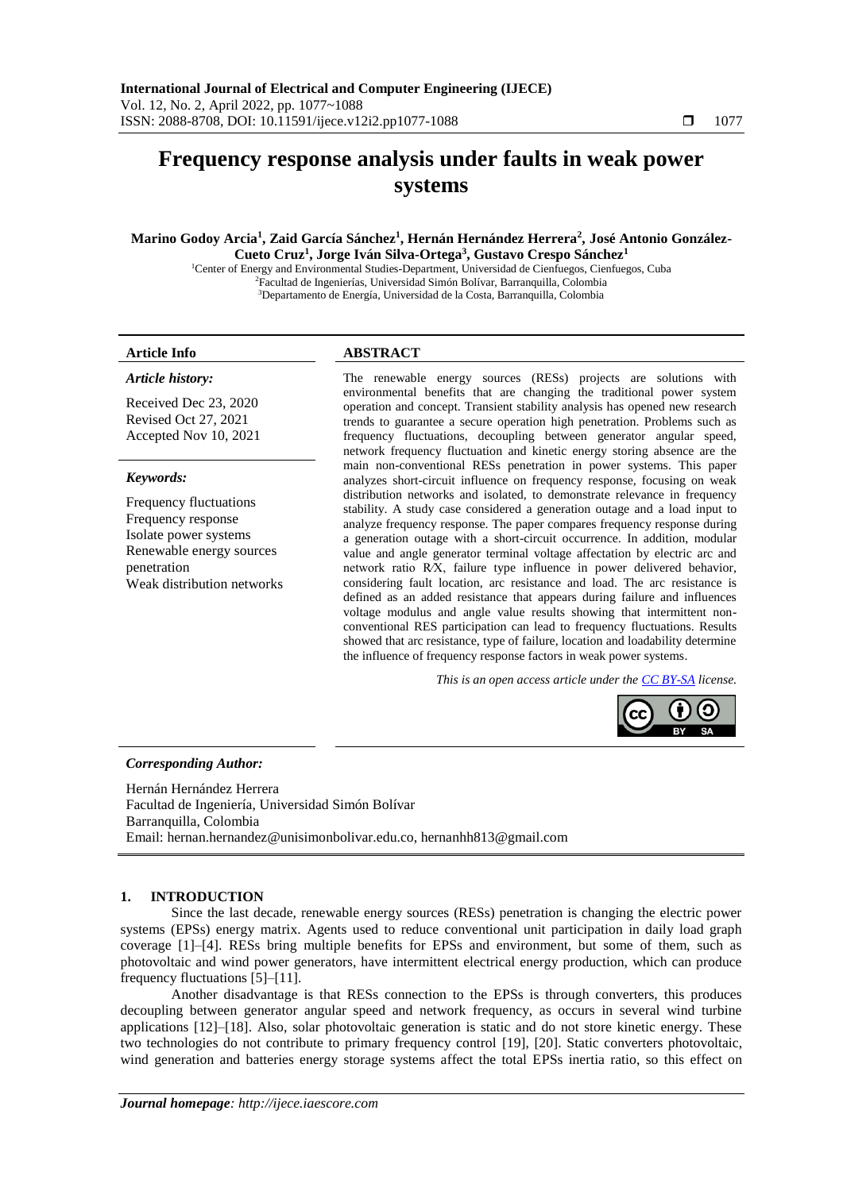# **Frequency response analysis under faults in weak power systems**

# **Marino Godoy Arcia<sup>1</sup> , Zaid García Sánchez<sup>1</sup> , Hernán Hernández Herrera<sup>2</sup> , José Antonio González-Cueto Cruz<sup>1</sup> , Jorge Iván Silva-Ortega<sup>3</sup> , Gustavo Crespo Sánchez<sup>1</sup>**

<sup>1</sup>Center of Energy and Environmental Studies-Department, Universidad de Cienfuegos, Cienfuegos, Cuba <sup>2</sup>Facultad de Ingenierías, Universidad Simón Bolívar, Barranquilla, Colombia <sup>3</sup>Departamento de Energía, Universidad de la Costa, Barranquilla, Colombia

# *Article history:*

Received Dec 23, 2020 Revised Oct 27, 2021 Accepted Nov 10, 2021

#### *Keywords:*

Frequency fluctuations Frequency response Isolate power systems Renewable energy sources penetration Weak distribution networks

# **Article Info ABSTRACT**

The renewable energy sources (RESs) projects are solutions with environmental benefits that are changing the traditional power system operation and concept. Transient stability analysis has opened new research trends to guarantee a secure operation high penetration. Problems such as frequency fluctuations, decoupling between generator angular speed, network frequency fluctuation and kinetic energy storing absence are the main non-conventional RESs penetration in power systems. This paper analyzes short-circuit influence on frequency response, focusing on weak distribution networks and isolated, to demonstrate relevance in frequency stability. A study case considered a generation outage and a load input to analyze frequency response. The paper compares frequency response during a generation outage with a short-circuit occurrence. In addition, modular value and angle generator terminal voltage affectation by electric arc and network ratio R⁄X, failure type influence in power delivered behavior, considering fault location, arc resistance and load. The arc resistance is defined as an added resistance that appears during failure and influences voltage modulus and angle value results showing that intermittent nonconventional RES participation can lead to frequency fluctuations. Results showed that arc resistance, type of failure, location and loadability determine the influence of frequency response factors in weak power systems.

*This is an open access article under the CC BY-SA license.*



# *Corresponding Author:*

Hernán Hernández Herrera Facultad de Ingeniería, Universidad Simón Bolívar Barranquilla, Colombia Email: hernan.hernandez@unisimonbolivar.edu.co, hernanhh813@gmail.com

# **1. INTRODUCTION**

Since the last decade, renewable energy sources (RESs) penetration is changing the electric power systems (EPSs) energy matrix. Agents used to reduce conventional unit participation in daily load graph coverage [1]–[4]. RESs bring multiple benefits for EPSs and environment, but some of them, such as photovoltaic and wind power generators, have intermittent electrical energy production, which can produce frequency fluctuations [5]–[11].

Another disadvantage is that RESs connection to the EPSs is through converters, this produces decoupling between generator angular speed and network frequency, as occurs in several wind turbine applications [12]–[18]. Also, solar photovoltaic generation is static and do not store kinetic energy. These two technologies do not contribute to primary frequency control [19], [20]. Static converters photovoltaic, wind generation and batteries energy storage systems affect the total EPSs inertia ratio, so this effect on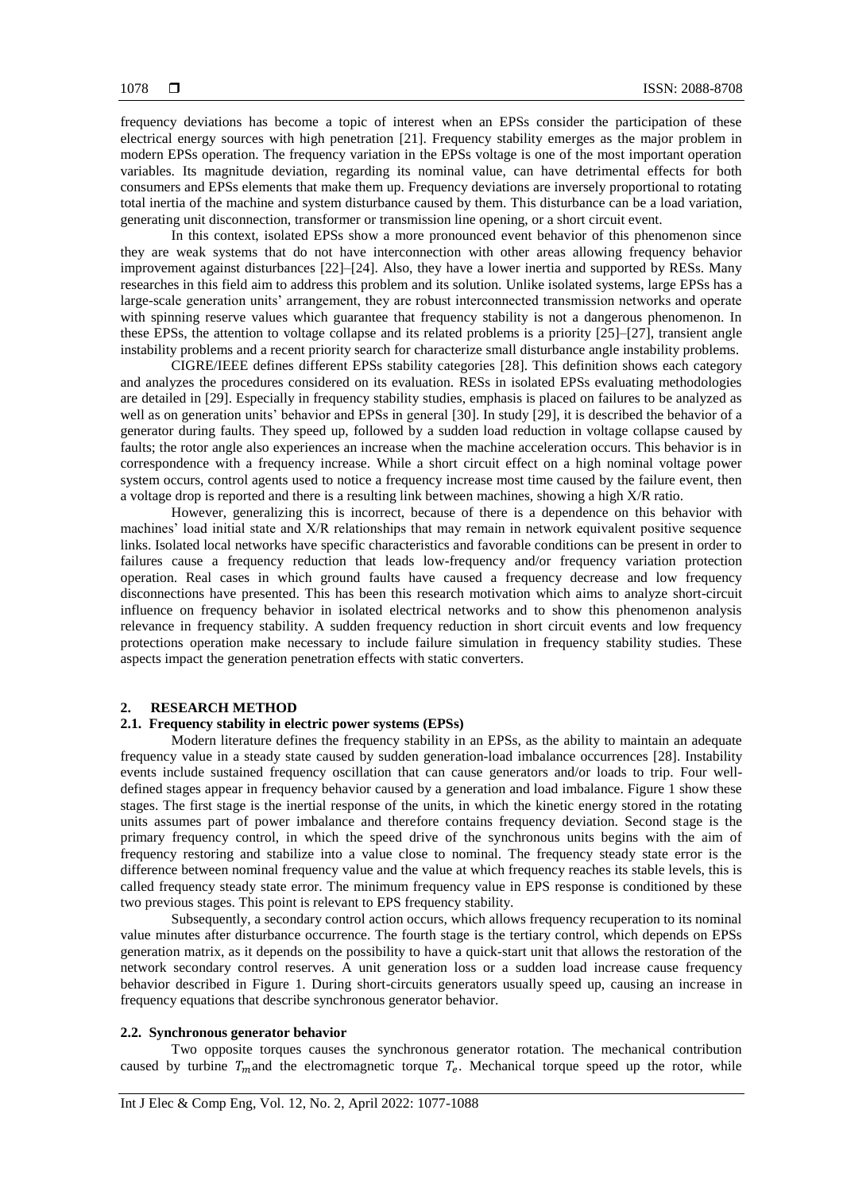frequency deviations has become a topic of interest when an EPSs consider the participation of these electrical energy sources with high penetration [21]. Frequency stability emerges as the major problem in modern EPSs operation. The frequency variation in the EPSs voltage is one of the most important operation variables. Its magnitude deviation, regarding its nominal value, can have detrimental effects for both consumers and EPSs elements that make them up. Frequency deviations are inversely proportional to rotating total inertia of the machine and system disturbance caused by them. This disturbance can be a load variation, generating unit disconnection, transformer or transmission line opening, or a short circuit event.

In this context, isolated EPSs show a more pronounced event behavior of this phenomenon since they are weak systems that do not have interconnection with other areas allowing frequency behavior improvement against disturbances [22]–[24]. Also, they have a lower inertia and supported by RESs. Many researches in this field aim to address this problem and its solution. Unlike isolated systems, large EPSs has a large-scale generation units' arrangement, they are robust interconnected transmission networks and operate with spinning reserve values which guarantee that frequency stability is not a dangerous phenomenon. In these EPSs, the attention to voltage collapse and its related problems is a priority [25]–[27], transient angle instability problems and a recent priority search for characterize small disturbance angle instability problems.

CIGRE/IEEE defines different EPSs stability categories [28]. This definition shows each category and analyzes the procedures considered on its evaluation. RESs in isolated EPSs evaluating methodologies are detailed in [29]. Especially in frequency stability studies, emphasis is placed on failures to be analyzed as well as on generation units' behavior and EPSs in general [30]. In study [29], it is described the behavior of a generator during faults. They speed up, followed by a sudden load reduction in voltage collapse caused by faults; the rotor angle also experiences an increase when the machine acceleration occurs. This behavior is in correspondence with a frequency increase. While a short circuit effect on a high nominal voltage power system occurs, control agents used to notice a frequency increase most time caused by the failure event, then a voltage drop is reported and there is a resulting link between machines, showing a high X/R ratio.

However, generalizing this is incorrect, because of there is a dependence on this behavior with machines' load initial state and X/R relationships that may remain in network equivalent positive sequence links. Isolated local networks have specific characteristics and favorable conditions can be present in order to failures cause a frequency reduction that leads low-frequency and/or frequency variation protection operation. Real cases in which ground faults have caused a frequency decrease and low frequency disconnections have presented. This has been this research motivation which aims to analyze short-circuit influence on frequency behavior in isolated electrical networks and to show this phenomenon analysis relevance in frequency stability. A sudden frequency reduction in short circuit events and low frequency protections operation make necessary to include failure simulation in frequency stability studies. These aspects impact the generation penetration effects with static converters.

# **2. RESEARCH METHOD**

# **2.1. Frequency stability in electric power systems (EPSs)**

Modern literature defines the frequency stability in an EPSs, as the ability to maintain an adequate frequency value in a steady state caused by sudden generation-load imbalance occurrences [28]. Instability events include sustained frequency oscillation that can cause generators and/or loads to trip. Four welldefined stages appear in frequency behavior caused by a generation and load imbalance. Figure 1 show these stages. The first stage is the inertial response of the units, in which the kinetic energy stored in the rotating units assumes part of power imbalance and therefore contains frequency deviation. Second stage is the primary frequency control, in which the speed drive of the synchronous units begins with the aim of frequency restoring and stabilize into a value close to nominal. The frequency steady state error is the difference between nominal frequency value and the value at which frequency reaches its stable levels, this is called frequency steady state error. The minimum frequency value in EPS response is conditioned by these two previous stages. This point is relevant to EPS frequency stability.

Subsequently, a secondary control action occurs, which allows frequency recuperation to its nominal value minutes after disturbance occurrence. The fourth stage is the tertiary control, which depends on EPSs generation matrix, as it depends on the possibility to have a quick-start unit that allows the restoration of the network secondary control reserves. A unit generation loss or a sudden load increase cause frequency behavior described in Figure 1. During short-circuits generators usually speed up, causing an increase in frequency equations that describe synchronous generator behavior.

# **2.2. Synchronous generator behavior**

Two opposite torques causes the synchronous generator rotation. The mechanical contribution caused by turbine  $T_m$  and the electromagnetic torque  $T_e$ . Mechanical torque speed up the rotor, while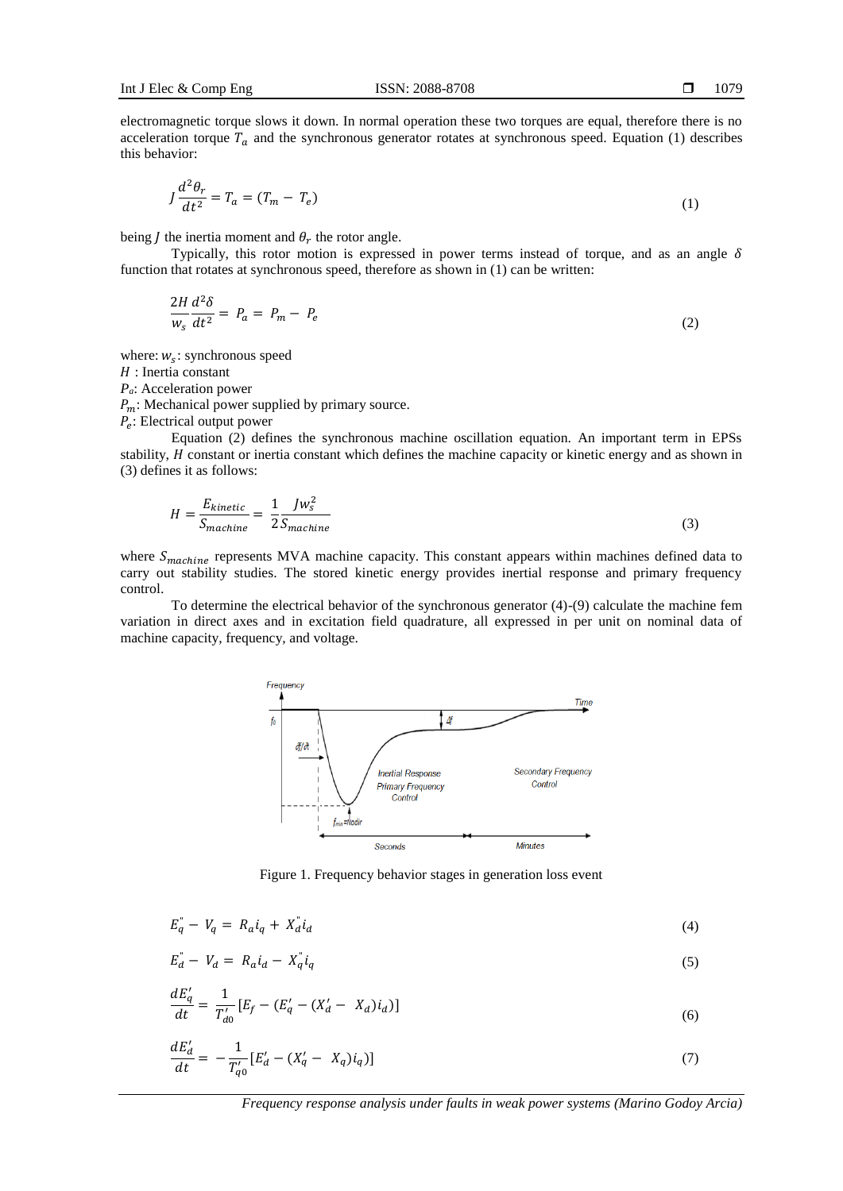$$
J\frac{d^2\theta_r}{dt^2} = T_a = (T_m - T_e) \tag{1}
$$

being *J* the inertia moment and  $\theta_r$  the rotor angle.

Typically, this rotor motion is expressed in power terms instead of torque, and as an angle  $\delta$ function that rotates at synchronous speed, therefore as shown in (1) can be written:

$$
\frac{2H}{w_s}\frac{d^2\delta}{dt^2} = P_a = P_m - P_e \tag{2}
$$

where:  $w_s$ : synchronous speed

 $22.2$ 

 $H:$  Inertia constant

*Pa*: Acceleration power

 $P_m$ : Mechanical power supplied by primary source.

 $P_e$ : Electrical output power

Equation (2) defines the synchronous machine oscillation equation. An important term in EPSs stability,  $H$  constant or inertia constant which defines the machine capacity or kinetic energy and as shown in (3) defines it as follows:

$$
H = \frac{E_{kinetic}}{S_{machine}} = \frac{1}{2} \frac{Jw_s^2}{S_{machine}}
$$
\n(3)

where  $S_{machine}$  represents MVA machine capacity. This constant appears within machines defined data to carry out stability studies. The stored kinetic energy provides inertial response and primary frequency control.

To determine the electrical behavior of the synchronous generator (4)-(9) calculate the machine fem variation in direct axes and in excitation field quadrature, all expressed in per unit on nominal data of machine capacity, frequency, and voltage.



Figure 1. Frequency behavior stages in generation loss event

$$
E_q^{\prime} - V_q = R_a i_q + X_d^{\prime} i_d \tag{4}
$$

$$
E_d - V_d = R_a i_d - X_q i_q \tag{5}
$$

$$
\frac{dE'_q}{dt} = \frac{1}{T'_{d0}} [E_f - (E'_q - (X'_d - X_d)i_d)] \tag{6}
$$

$$
\frac{dE'_d}{dt} = -\frac{1}{T'_{q0}} [E'_d - (X'_q - X_q)i_q)]
$$
\n(7)

*Frequency response analysis under faults in weak power systems (Marino Godoy Arcia)*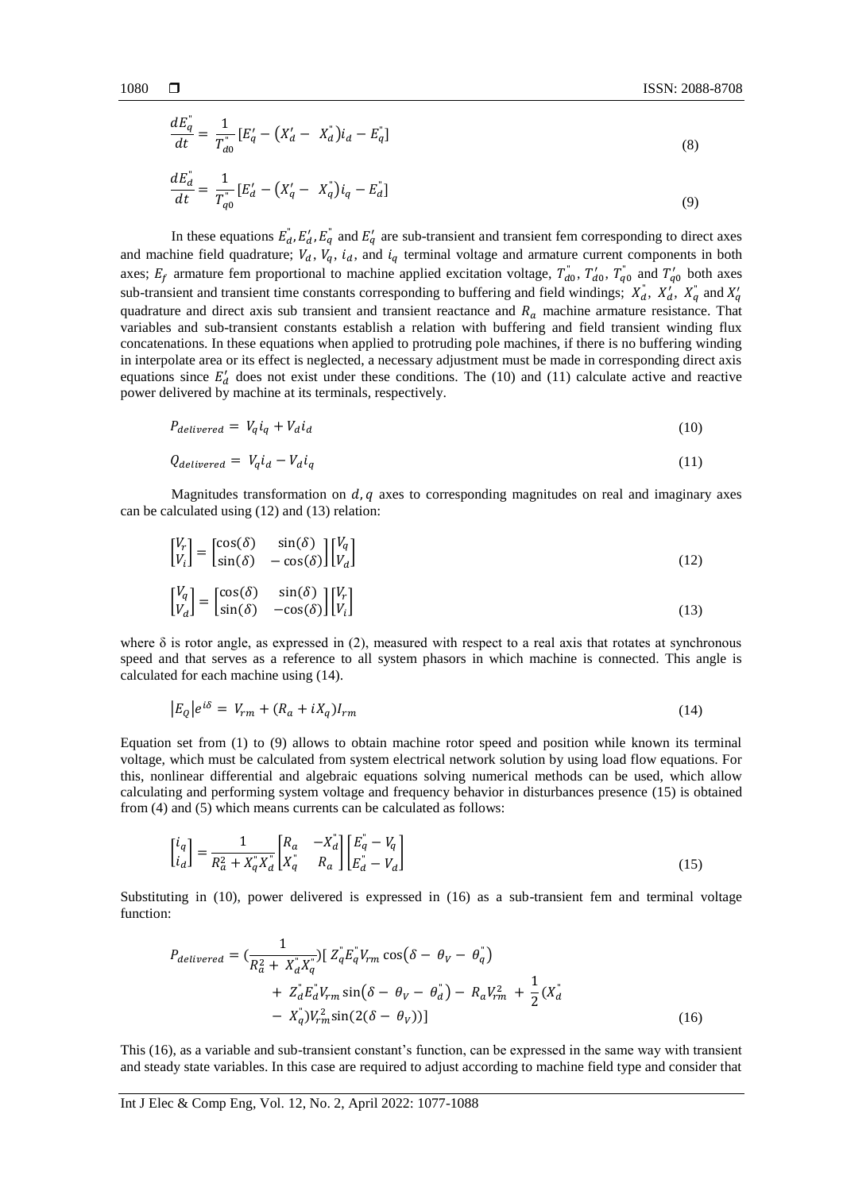$$
\frac{dE_q^{\dagger}}{dt} = \frac{1}{T_{d0}^{\dagger}} \left[ E_q' - \left( X_d' - X_d \right) i_d - E_q^{\dagger} \right] \tag{8}
$$

$$
\frac{dE_d^{\dagger}}{dt} = \frac{1}{T_{q0}^{\dagger}} [E_d' - (X_q' - X_q^{\dagger})i_q - E_d^{\dagger}]
$$
\n(9)

In these equations  $E_d$ ,  $E_d$ ,  $E_q$  and  $E_q$  are sub-transient and transient fem corresponding to direct axes and machine field quadrature;  $V_d$ ,  $V_q$ ,  $i_d$ , and  $i_q$  terminal voltage and armature current components in both axes;  $E_f$  armature fem proportional to machine applied excitation voltage,  $T_{d0}$ ,  $T_{d0}$ ,  $T_{q0}$  and  $T_{q0}$  both axes sub-transient and transient time constants corresponding to buffering and field windings;  $X_d^r$ ,  $X_d^r$ ,  $X_q^r$  and  $X_q^r$ quadrature and direct axis sub transient and transient reactance and  $R_a$  machine armature resistance. That variables and sub-transient constants establish a relation with buffering and field transient winding flux concatenations. In these equations when applied to protruding pole machines, if there is no buffering winding in interpolate area or its effect is neglected, a necessary adjustment must be made in corresponding direct axis equations since  $E'_d$  does not exist under these conditions. The (10) and (11) calculate active and reactive power delivered by machine at its terminals, respectively.

$$
P_{delivered} = V_q i_q + V_d i_d \tag{10}
$$

$$
Q_{delivered} = V_q i_d - V_d i_q \tag{11}
$$

Magnitudes transformation on  $d, q$  axes to corresponding magnitudes on real and imaginary axes can be calculated using (12) and (13) relation:

$$
\begin{bmatrix} V_r \\ V_i \end{bmatrix} = \begin{bmatrix} \cos(\delta) & \sin(\delta) \\ \sin(\delta) & -\cos(\delta) \end{bmatrix} \begin{bmatrix} V_q \\ V_d \end{bmatrix}
$$
 (12)

$$
\begin{bmatrix} V_q \\ V_d \end{bmatrix} = \begin{bmatrix} \cos(\delta) & \sin(\delta) \\ \sin(\delta) & -\cos(\delta) \end{bmatrix} \begin{bmatrix} V_r \\ V_i \end{bmatrix}
$$
\n(13)

where  $\delta$  is rotor angle, as expressed in (2), measured with respect to a real axis that rotates at synchronous speed and that serves as a reference to all system phasors in which machine is connected. This angle is calculated for each machine using (14).

$$
|E_Q|e^{i\delta} = V_{rm} + (R_a + iX_q)I_{rm}
$$
\n<sup>(14)</sup>

Equation set from (1) to (9) allows to obtain machine rotor speed and position while known its terminal voltage, which must be calculated from system electrical network solution by using load flow equations. For this, nonlinear differential and algebraic equations solving numerical methods can be used, which allow calculating and performing system voltage and frequency behavior in disturbances presence (15) is obtained from (4) and (5) which means currents can be calculated as follows:

$$
\begin{bmatrix} i_q \\ i_d \end{bmatrix} = \frac{1}{R_a^2 + X_q^* X_d^*} \begin{bmatrix} R_a & -X_a^* \\ X_q^* & R_a \end{bmatrix} \begin{bmatrix} E_q^* - V_q \\ E_d^* - V_d \end{bmatrix} \tag{15}
$$

Substituting in (10), power delivered is expressed in (16) as a sub-transient fem and terminal voltage function:

$$
P_{delivered} = \left(\frac{1}{R_d^2 + X_a^* X_q^*}\right) \left[ Z_q^* E_q^* V_{rm} \cos\left(\delta - \theta_V - \theta_q^* \right) + Z_a^* E_d^* V_{rm} \sin\left(\delta - \theta_V - \theta_a^* \right) - R_a V_{rm}^2 + \frac{1}{2} (X_a^* - X_q^*) V_{rm}^2 \sin\left(2(\delta - \theta_V)\right) \right]
$$
\n(16)

This (16), as a variable and sub-transient constant's function, can be expressed in the same way with transient and steady state variables. In this case are required to adjust according to machine field type and consider that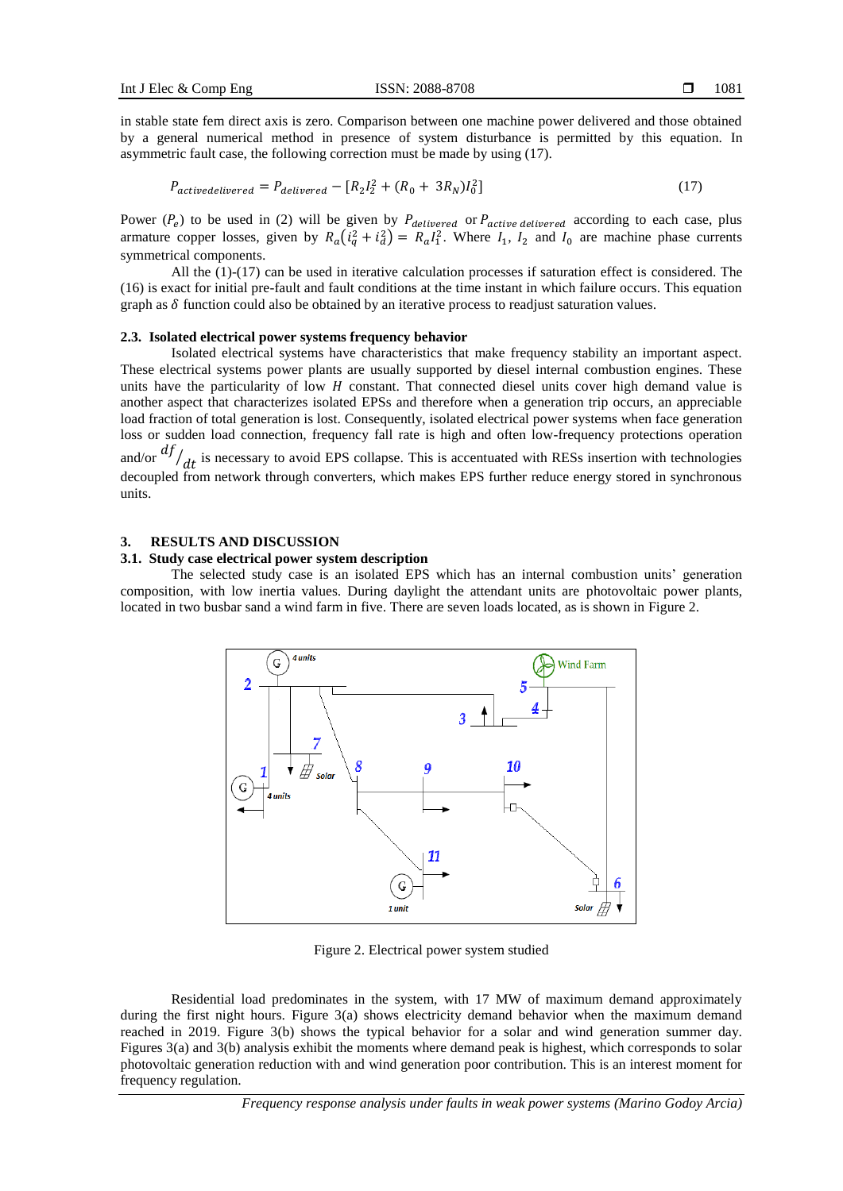in stable state fem direct axis is zero. Comparison between one machine power delivered and those obtained by a general numerical method in presence of system disturbance is permitted by this equation. In asymmetric fault case, the following correction must be made by using (17).

$$
P_{activatedelivered} = P_{delivered} - [R_2I_2^2 + (R_0 + 3R_N)I_0^2]
$$
\n
$$
(17)
$$

Power  $(P_e)$  to be used in (2) will be given by  $P_{\text{delivered}}$  or  $P_{\text{active delivered}}$  according to each case, plus armature copper losses, given by  $R_a(i_q^2 + i_d^2) = R_a I_1^2$ . Where  $I_1$ ,  $I_2$  and  $I_0$  are machine phase currents symmetrical components.

All the (1)-(17) can be used in iterative calculation processes if saturation effect is considered. The (16) is exact for initial pre-fault and fault conditions at the time instant in which failure occurs. This equation graph as  $\delta$  function could also be obtained by an iterative process to readjust saturation values.

#### **2.3. Isolated electrical power systems frequency behavior**

Isolated electrical systems have characteristics that make frequency stability an important aspect. These electrical systems power plants are usually supported by diesel internal combustion engines. These units have the particularity of low  $H$  constant. That connected diesel units cover high demand value is another aspect that characterizes isolated EPSs and therefore when a generation trip occurs, an appreciable load fraction of total generation is lost. Consequently, isolated electrical power systems when face generation loss or sudden load connection, frequency fall rate is high and often low-frequency protections operation and/or  $\frac{df}{dt}$  is necessary to avoid EPS collapse. This is accentuated with RESs insertion with technologies decoupled from network through converters, which makes EPS further reduce energy stored in synchronous units.

#### **3. RESULTS AND DISCUSSION**

#### **3.1. Study case electrical power system description**

The selected study case is an isolated EPS which has an internal combustion units' generation composition, with low inertia values. During daylight the attendant units are photovoltaic power plants, located in two busbar sand a wind farm in five. There are seven loads located, as is shown in Figure 2.



Figure 2. Electrical power system studied

Residential load predominates in the system, with 17 MW of maximum demand approximately during the first night hours. Figure  $3(a)$  shows electricity demand behavior when the maximum demand reached in 2019. Figure 3(b) shows the typical behavior for a solar and wind generation summer day. Figures 3(a) and 3(b) analysis exhibit the moments where demand peak is highest, which corresponds to solar photovoltaic generation reduction with and wind generation poor contribution. This is an interest moment for frequency regulation.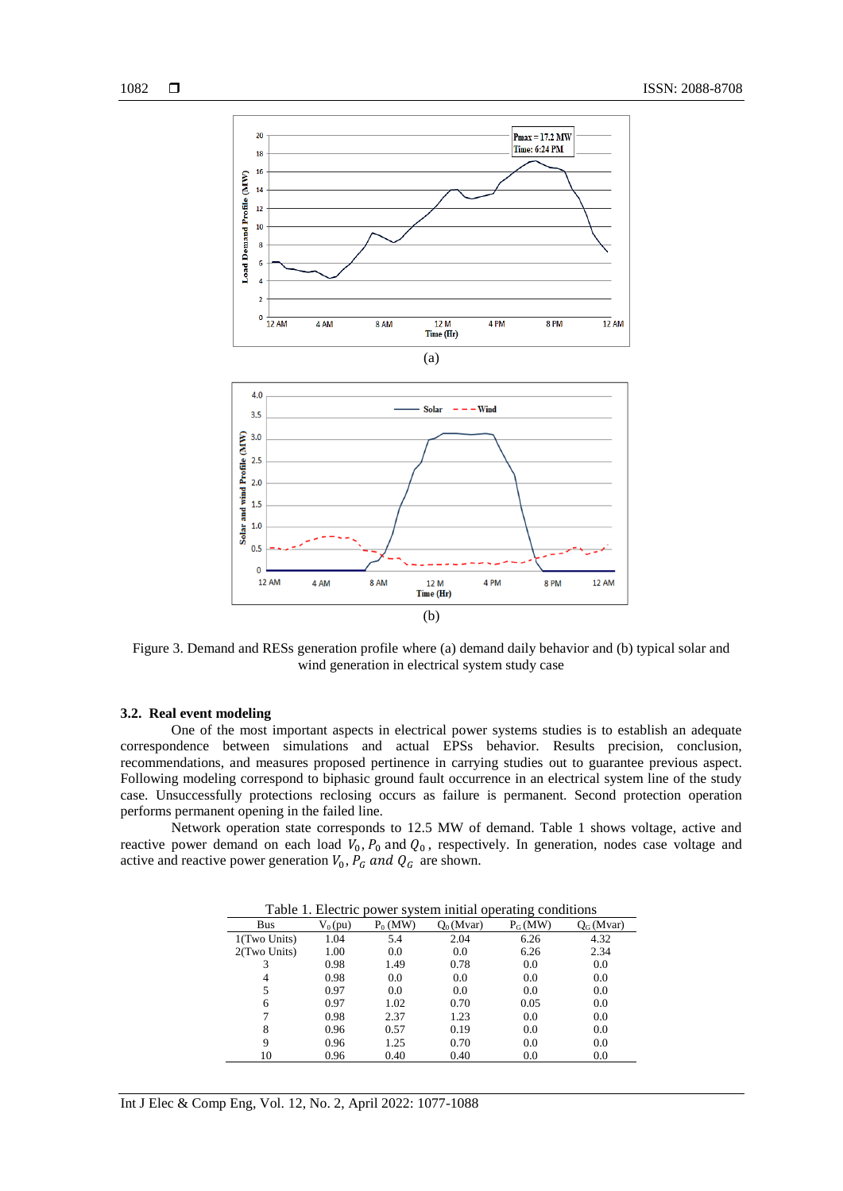

Figure 3. Demand and RESs generation profile where (a) demand daily behavior and (b) typical solar and wind generation in electrical system study case

# **3.2. Real event modeling**

One of the most important aspects in electrical power systems studies is to establish an adequate correspondence between simulations and actual EPSs behavior. Results precision, conclusion, recommendations, and measures proposed pertinence in carrying studies out to guarantee previous aspect. Following modeling correspond to biphasic ground fault occurrence in an electrical system line of the study case. Unsuccessfully protections reclosing occurs as failure is permanent. Second protection operation performs permanent opening in the failed line.

Network operation state corresponds to 12.5 MW of demand. Table 1 shows voltage, active and reactive power demand on each load  $V_0$ ,  $P_0$  and  $Q_0$ , respectively. In generation, nodes case voltage and active and reactive power generation  $V_0$ ,  $P_G$  and  $Q_G$  are shown.

| o            |           |            |              |           |             |
|--------------|-----------|------------|--------------|-----------|-------------|
| Bus          | $V_0(pu)$ | $P_0$ (MW) | $Q_0$ (Mvar) | $P_G(MW)$ | $Q_G(Mvar)$ |
| 1(Two Units) | 1.04      | 5.4        | 2.04         | 6.26      | 4.32        |
| 2(Two Units) | 1.00      | 0.0        | 0.0          | 6.26      | 2.34        |
| 3            | 0.98      | 1.49       | 0.78         | 0.0       | 0.0         |
| 4            | 0.98      | 0.0        | 0.0          | 0.0       | 0.0         |
| 5            | 0.97      | 0.0        | 0.0          | 0.0       | 0.0         |
| 6            | 0.97      | 1.02       | 0.70         | 0.05      | 0.0         |
|              | 0.98      | 2.37       | 1.23         | 0.0       | 0.0         |
| 8            | 0.96      | 0.57       | 0.19         | 0.0       | 0.0         |
| 9            | 0.96      | 1.25       | 0.70         | 0.0       | 0.0         |
| 10           | 0.96      | 0.40       | 0.40         | 0.0       | 0.0         |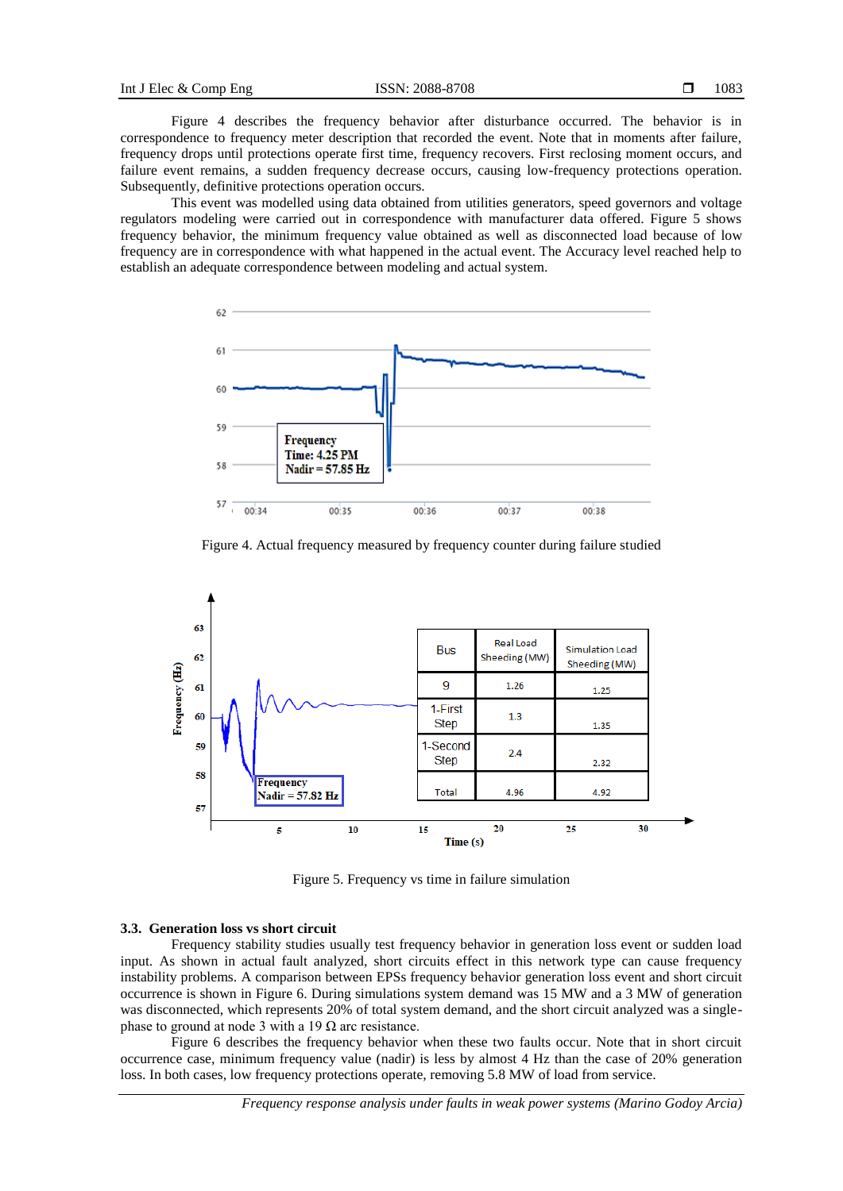Figure 4 describes the frequency behavior after disturbance occurred. The behavior is in correspondence to frequency meter description that recorded the event. Note that in moments after failure, frequency drops until protections operate first time, frequency recovers. First reclosing moment occurs, and failure event remains, a sudden frequency decrease occurs, causing low-frequency protections operation. Subsequently, definitive protections operation occurs.

This event was modelled using data obtained from utilities generators, speed governors and voltage regulators modeling were carried out in correspondence with manufacturer data offered. Figure 5 shows frequency behavior, the minimum frequency value obtained as well as disconnected load because of low frequency are in correspondence with what happened in the actual event. The Accuracy level reached help to establish an adequate correspondence between modeling and actual system.



Figure 4. Actual frequency measured by frequency counter during failure studied



Figure 5. Frequency vs time in failure simulation

#### **3.3. Generation loss vs short circuit**

Frequency stability studies usually test frequency behavior in generation loss event or sudden load input. As shown in actual fault analyzed, short circuits effect in this network type can cause frequency instability problems. A comparison between EPSs frequency behavior generation loss event and short circuit occurrence is shown in Figure 6. During simulations system demand was 15 MW and a 3 MW of generation was disconnected, which represents 20% of total system demand, and the short circuit analyzed was a singlephase to ground at node 3 with a 19  $\Omega$  arc resistance.

Figure 6 describes the frequency behavior when these two faults occur. Note that in short circuit occurrence case, minimum frequency value (nadir) is less by almost 4 Hz than the case of 20% generation loss. In both cases, low frequency protections operate, removing 5.8 MW of load from service.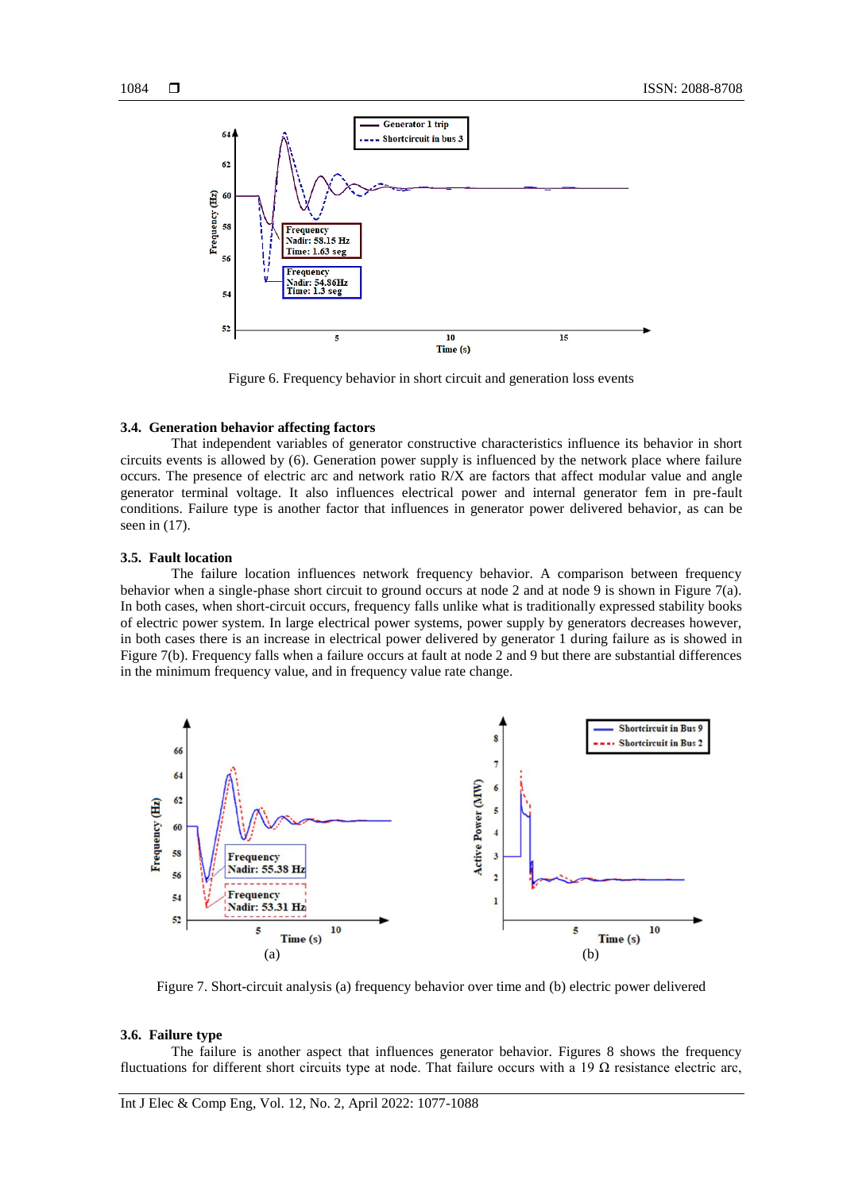

Figure 6. Frequency behavior in short circuit and generation loss events

#### **3.4. Generation behavior affecting factors**

That independent variables of generator constructive characteristics influence its behavior in short circuits events is allowed by (6). Generation power supply is influenced by the network place where failure occurs. The presence of electric arc and network ratio R/X are factors that affect modular value and angle generator terminal voltage. It also influences electrical power and internal generator fem in pre-fault conditions. Failure type is another factor that influences in generator power delivered behavior, as can be seen in (17).

# **3.5. Fault location**

The failure location influences network frequency behavior. A comparison between frequency behavior when a single-phase short circuit to ground occurs at node 2 and at node 9 is shown in Figure 7(a). In both cases, when short-circuit occurs, frequency falls unlike what is traditionally expressed stability books of electric power system. In large electrical power systems, power supply by generators decreases however, in both cases there is an increase in electrical power delivered by generator 1 during failure as is showed in Figure 7(b). Frequency falls when a failure occurs at fault at node 2 and 9 but there are substantial differences in the minimum frequency value, and in frequency value rate change.



Figure 7. Short-circuit analysis (a) frequency behavior over time and (b) electric power delivered

#### **3.6. Failure type**

The failure is another aspect that influences generator behavior. Figures 8 shows the frequency fluctuations for different short circuits type at node. That failure occurs with a 19  $\Omega$  resistance electric arc,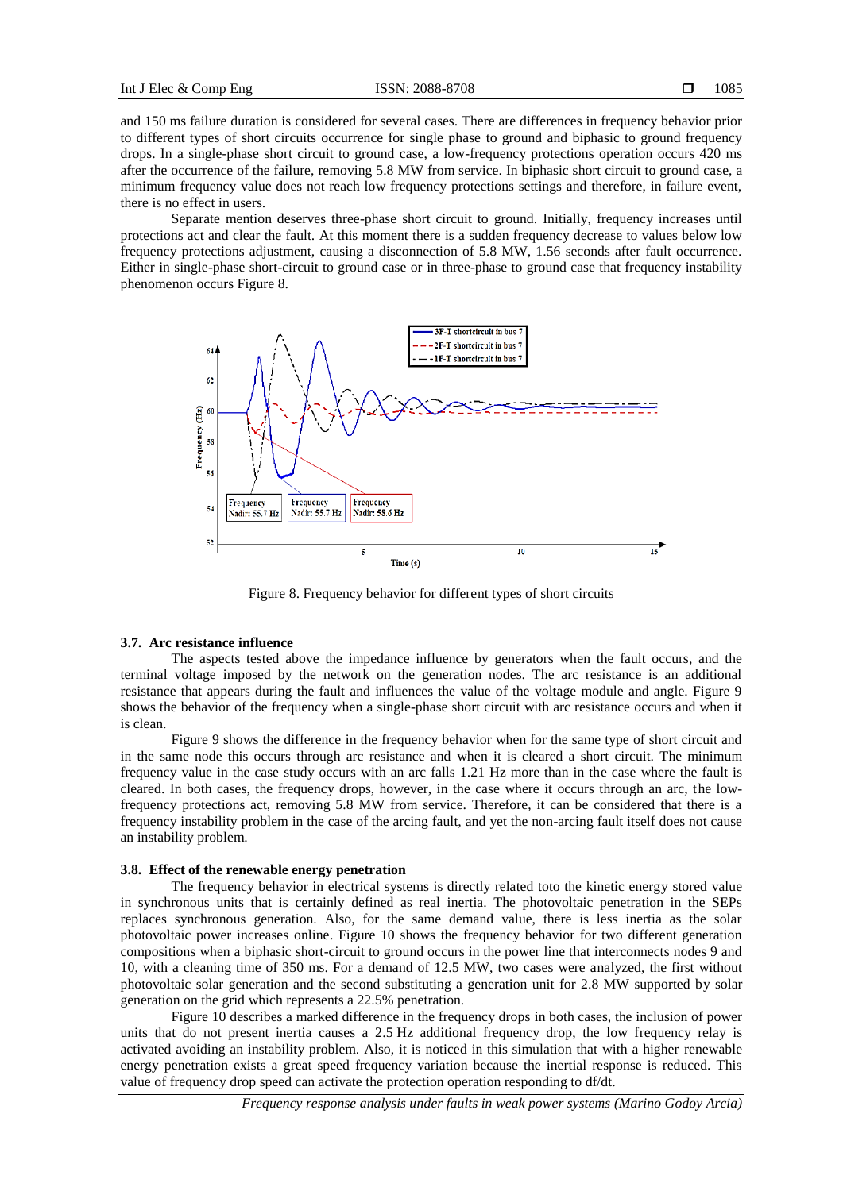and 150 ms failure duration is considered for several cases. There are differences in frequency behavior prior to different types of short circuits occurrence for single phase to ground and biphasic to ground frequency drops. In a single-phase short circuit to ground case, a low-frequency protections operation occurs 420 ms after the occurrence of the failure, removing 5.8 MW from service. In biphasic short circuit to ground case, a minimum frequency value does not reach low frequency protections settings and therefore, in failure event, there is no effect in users.

Separate mention deserves three-phase short circuit to ground. Initially, frequency increases until protections act and clear the fault. At this moment there is a sudden frequency decrease to values below low frequency protections adjustment, causing a disconnection of 5.8 MW, 1.56 seconds after fault occurrence. Either in single-phase short-circuit to ground case or in three-phase to ground case that frequency instability phenomenon occurs Figure 8.



Figure 8. Frequency behavior for different types of short circuits

#### **3.7. Arc resistance influence**

The aspects tested above the impedance influence by generators when the fault occurs, and the terminal voltage imposed by the network on the generation nodes. The arc resistance is an additional resistance that appears during the fault and influences the value of the voltage module and angle. Figure 9 shows the behavior of the frequency when a single-phase short circuit with arc resistance occurs and when it is clean.

Figure 9 shows the difference in the frequency behavior when for the same type of short circuit and in the same node this occurs through arc resistance and when it is cleared a short circuit. The minimum frequency value in the case study occurs with an arc falls 1.21 Hz more than in the case where the fault is cleared. In both cases, the frequency drops, however, in the case where it occurs through an arc, the lowfrequency protections act, removing 5.8 MW from service. Therefore, it can be considered that there is a frequency instability problem in the case of the arcing fault, and yet the non-arcing fault itself does not cause an instability problem.

#### **3.8. Effect of the renewable energy penetration**

The frequency behavior in electrical systems is directly related toto the kinetic energy stored value in synchronous units that is certainly defined as real inertia. The photovoltaic penetration in the SEPs replaces synchronous generation. Also, for the same demand value, there is less inertia as the solar photovoltaic power increases online. Figure 10 shows the frequency behavior for two different generation compositions when a biphasic short-circuit to ground occurs in the power line that interconnects nodes 9 and 10, with a cleaning time of 350 ms. For a demand of 12.5 MW, two cases were analyzed, the first without photovoltaic solar generation and the second substituting a generation unit for 2.8 MW supported by solar generation on the grid which represents a 22.5% penetration.

Figure 10 describes a marked difference in the frequency drops in both cases, the inclusion of power units that do not present inertia causes a 2.5 Hz additional frequency drop, the low frequency relay is activated avoiding an instability problem. Also, it is noticed in this simulation that with a higher renewable energy penetration exists a great speed frequency variation because the inertial response is reduced. This value of frequency drop speed can activate the protection operation responding to df/dt.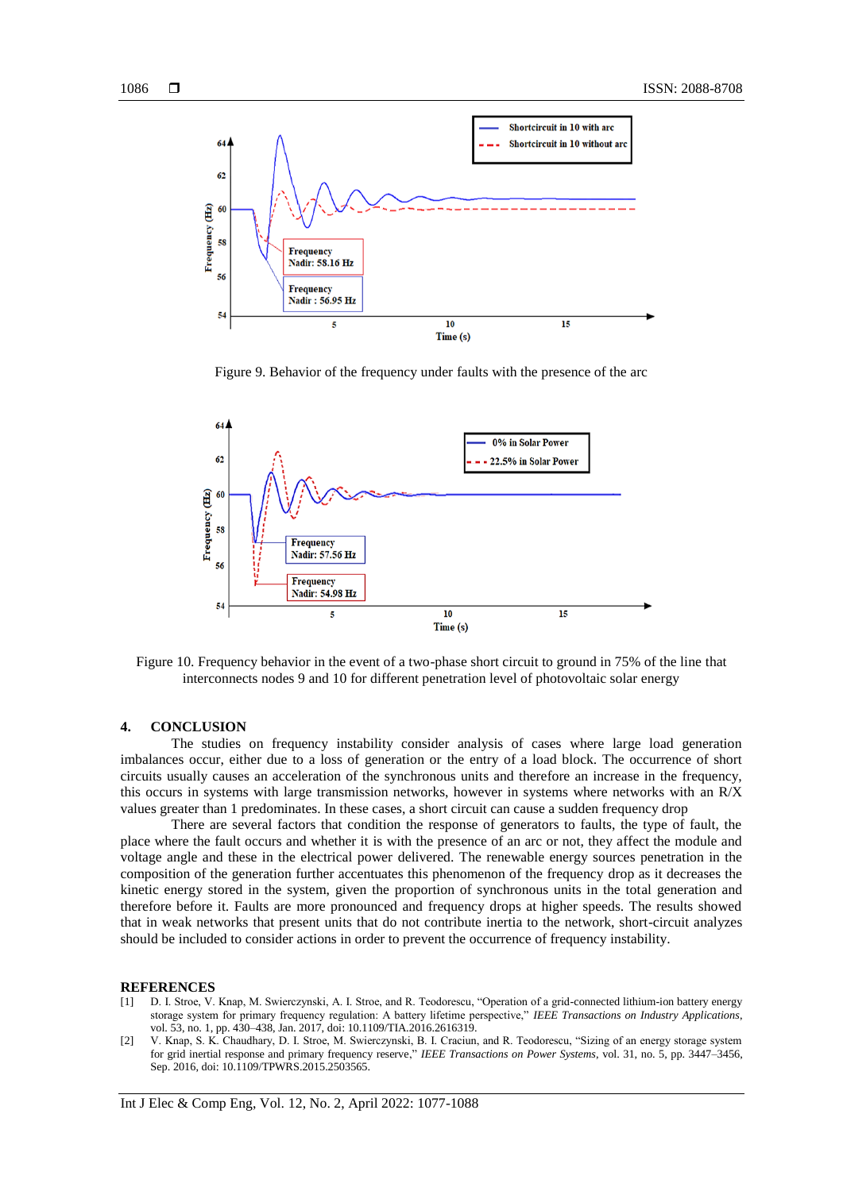

Figure 9. Behavior of the frequency under faults with the presence of the arc



Figure 10. Frequency behavior in the event of a two-phase short circuit to ground in 75% of the line that interconnects nodes 9 and 10 for different penetration level of photovoltaic solar energy

### **4. CONCLUSION**

The studies on frequency instability consider analysis of cases where large load generation imbalances occur, either due to a loss of generation or the entry of a load block. The occurrence of short circuits usually causes an acceleration of the synchronous units and therefore an increase in the frequency, this occurs in systems with large transmission networks, however in systems where networks with an R/X values greater than 1 predominates. In these cases, a short circuit can cause a sudden frequency drop

There are several factors that condition the response of generators to faults, the type of fault, the place where the fault occurs and whether it is with the presence of an arc or not, they affect the module and voltage angle and these in the electrical power delivered. The renewable energy sources penetration in the composition of the generation further accentuates this phenomenon of the frequency drop as it decreases the kinetic energy stored in the system, given the proportion of synchronous units in the total generation and therefore before it. Faults are more pronounced and frequency drops at higher speeds. The results showed that in weak networks that present units that do not contribute inertia to the network, short-circuit analyzes should be included to consider actions in order to prevent the occurrence of frequency instability.

#### **REFERENCES**

- [1] D. I. Stroe, V. Knap, M. Swierczynski, A. I. Stroe, and R. Teodorescu, "Operation of a grid-connected lithium-ion battery energy storage system for primary frequency regulation: A battery lifetime perspective," *IEEE Transactions on Industry Applications*, vol. 53, no. 1, pp. 430–438, Jan. 2017, doi: 10.1109/TIA.2016.2616319.
- [2] V. Knap, S. K. Chaudhary, D. I. Stroe, M. Swierczynski, B. I. Craciun, and R. Teodorescu, "Sizing of an energy storage system for grid inertial response and primary frequency reserve," *IEEE Transactions on Power Systems*, vol. 31, no. 5, pp. 3447–3456, Sep. 2016, doi: 10.1109/TPWRS.2015.2503565.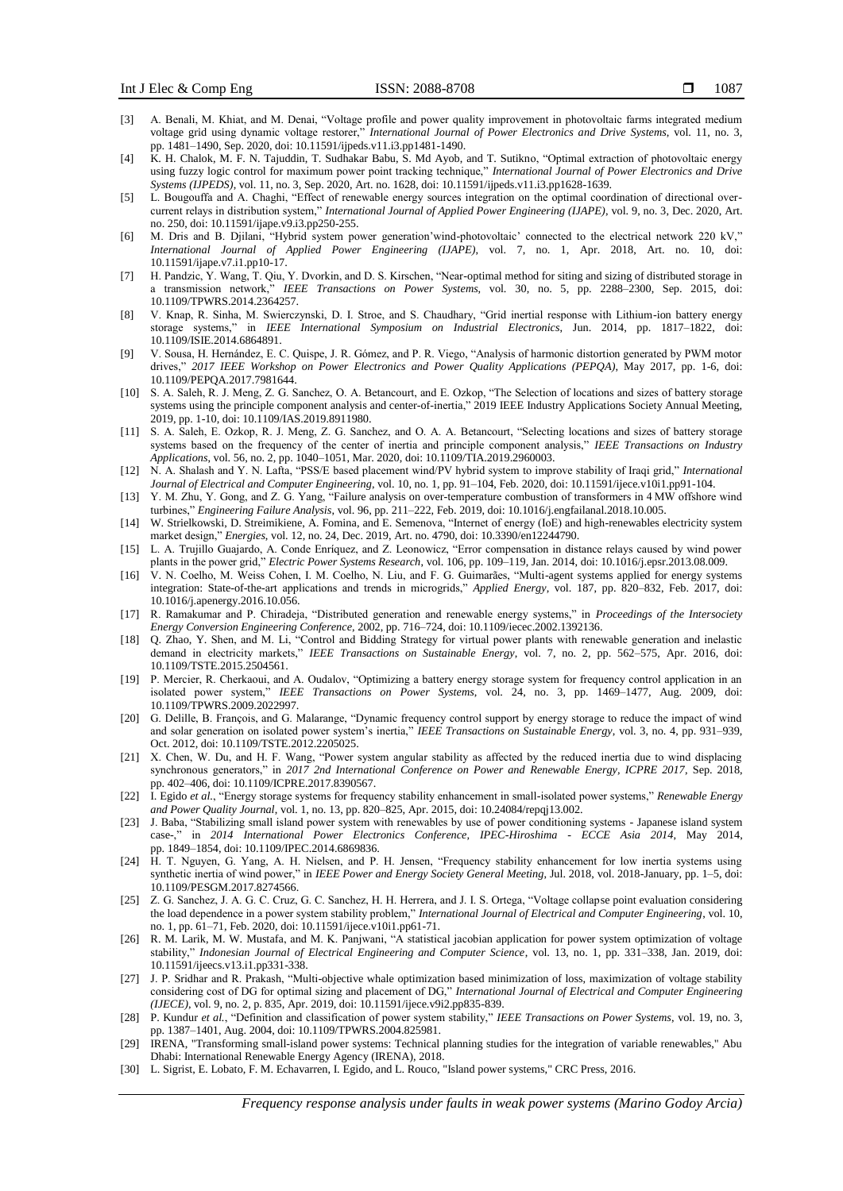- [3] A. Benali, M. Khiat, and M. Denai, "Voltage profile and power quality improvement in photovoltaic farms integrated medium voltage grid using dynamic voltage restorer," *International Journal of Power Electronics and Drive Systems*, vol. 11, no. 3, pp. 1481–1490, Sep. 2020, doi: 10.11591/ijpeds.v11.i3.pp1481-1490.
- [4] K. H. Chalok, M. F. N. Tajuddin, T. Sudhakar Babu, S. Md Ayob, and T. Sutikno, "Optimal extraction of photovoltaic energy using fuzzy logic control for maximum power point tracking technique," *International Journal of Power Electronics and Drive Systems (IJPEDS)*, vol. 11, no. 3, Sep. 2020, Art. no. 1628, doi: 10.11591/ijpeds.v11.i3.pp1628-1639.
- [5] L. Bougouffa and A. Chaghi, "Effect of renewable energy sources integration on the optimal coordination of directional overcurrent relays in distribution system," *International Journal of Applied Power Engineering (IJAPE)*, vol. 9, no. 3, Dec. 2020, Art. no. 250, doi: 10.11591/ijape.v9.i3.pp250-255.
- [6] M. Dris and B. Djilani, "Hybrid system power generation'wind-photovoltaic' connected to the electrical network 220 kV," *International Journal of Applied Power Engineering (IJAPE)*, vol. 7, no. 1, Apr. 2018, Art. no. 10, doi: 10.11591/ijape.v7.i1.pp10-17.
- [7] H. Pandzic, Y. Wang, T. Qiu, Y. Dvorkin, and D. S. Kirschen, "Near-optimal method for siting and sizing of distributed storage in a transmission network," *IEEE Transactions on Power Systems*, vol. 30, no. 5, pp. 2288–2300, Sep. 2015, doi: 10.1109/TPWRS.2014.2364257.
- [8] V. Knap, R. Sinha, M. Swierczynski, D. I. Stroe, and S. Chaudhary, "Grid inertial response with Lithium-ion battery energy storage systems," in *IEEE International Symposium on Industrial Electronics*, Jun. 2014, pp. 1817–1822, doi: 10.1109/ISIE.2014.6864891.
- [9] V. Sousa, H. Hernández, E. C. Quispe, J. R. Gómez, and P. R. Viego, "Analysis of harmonic distortion generated by PWM motor drives," *2017 IEEE Workshop on Power Electronics and Power Quality Applications (PEPQA)*, May 2017, pp. 1-6, doi: 10.1109/PEPQA.2017.7981644.
- [10] S. A. Saleh, R. J. Meng, Z. G. Sanchez, O. A. Betancourt, and E. Ozkop, "The Selection of locations and sizes of battery storage systems using the principle component analysis and center-of-inertia," 2019 IEEE Industry Applications Society Annual Meeting, 2019, pp. 1-10, doi: 10.1109/IAS.2019.8911980.
- [11] S. A. Saleh, E. Ozkop, R. J. Meng, Z. G. Sanchez, and O. A. A. Betancourt, "Selecting locations and sizes of battery storage systems based on the frequency of the center of inertia and principle component analysis," *IEEE Transactions on Industry Applications*, vol. 56, no. 2, pp. 1040–1051, Mar. 2020, doi: 10.1109/TIA.2019.2960003.
- [12] N. A. Shalash and Y. N. Lafta, "PSS/E based placement wind/PV hybrid system to improve stability of Iraqi grid," *International Journal of Electrical and Computer Engineering*, vol. 10, no. 1, pp. 91–104, Feb. 2020, doi: 10.11591/ijece.v10i1.pp91-104.
- [13] Y. M. Zhu, Y. Gong, and Z. G. Yang, "Failure analysis on over-temperature combustion of transformers in 4 MW offshore wind turbines," *Engineering Failure Analysis*, vol. 96, pp. 211–222, Feb. 2019, doi: 10.1016/j.engfailanal.2018.10.005.
- [14] W. Strielkowski, D. Streimikiene, A. Fomina, and E. Semenova, "Internet of energy (IoE) and high-renewables electricity system market design," *Energies*, vol. 12, no. 24, Dec. 2019, Art. no. 4790, doi: 10.3390/en12244790.
- [15] L. A. Trujillo Guajardo, A. Conde Enríquez, and Z. Leonowicz, "Error compensation in distance relays caused by wind power plants in the power grid," *Electric Power Systems Research*, vol. 106, pp. 109–119, Jan. 2014, doi: 10.1016/j.epsr.2013.08.009.
- [16] V. N. Coelho, M. Weiss Cohen, I. M. Coelho, N. Liu, and F. G. Guimarães, "Multi-agent systems applied for energy systems integration: State-of-the-art applications and trends in microgrids," *Applied Energy*, vol. 187, pp. 820–832, Feb. 2017, doi: 10.1016/j.apenergy.2016.10.056.
- [17] R. Ramakumar and P. Chiradeja, "Distributed generation and renewable energy systems," in *Proceedings of the Intersociety Energy Conversion Engineering Conference*, 2002, pp. 716–724, doi: 10.1109/iecec.2002.1392136.
- [18] Q. Zhao, Y. Shen, and M. Li, "Control and Bidding Strategy for virtual power plants with renewable generation and inelastic demand in electricity markets," *IEEE Transactions on Sustainable Energy*, vol. 7, no. 2, pp. 562–575, Apr. 2016, doi: 10.1109/TSTE.2015.2504561.
- [19] P. Mercier, R. Cherkaoui, and A. Oudalov, "Optimizing a battery energy storage system for frequency control application in an isolated power system," *IEEE Transactions on Power Systems*, vol. 24, no. 3, pp. 1469–1477, Aug. 2009, doi: 10.1109/TPWRS.2009.2022997.
- [20] G. Delille, B. François, and G. Malarange, "Dynamic frequency control support by energy storage to reduce the impact of wind and solar generation on isolated power system's inertia," *IEEE Transactions on Sustainable Energy*, vol. 3, no. 4, pp. 931–939, Oct. 2012, doi: 10.1109/TSTE.2012.2205025.
- [21] X. Chen, W. Du, and H. F. Wang, "Power system angular stability as affected by the reduced inertia due to wind displacing synchronous generators," in *2017 2nd International Conference on Power and Renewable Energy, ICPRE 2017*, Sep. 2018, pp. 402–406, doi: 10.1109/ICPRE.2017.8390567.
- [22] I. Egido *et al.*, "Energy storage systems for frequency stability enhancement in small-isolated power systems," *Renewable Energy and Power Quality Journal*, vol. 1, no. 13, pp. 820–825, Apr. 2015, doi: 10.24084/repqj13.002.
- [23] J. Baba, "Stabilizing small island power system with renewables by use of power conditioning systems Japanese island system case-," in *2014 International Power Electronics Conference, IPEC-Hiroshima - ECCE Asia 2014*, May 2014, pp. 1849–1854, doi: 10.1109/IPEC.2014.6869836.
- [24] H. T. Nguyen, G. Yang, A. H. Nielsen, and P. H. Jensen, "Frequency stability enhancement for low inertia systems using synthetic inertia of wind power," in *IEEE Power and Energy Society General Meeting*, Jul. 2018, vol. 2018-January, pp. 1–5, doi: 10.1109/PESGM.2017.8274566.
- [25] Z. G. Sanchez, J. A. G. C. Cruz, G. C. Sanchez, H. H. Herrera, and J. I. S. Ortega, "Voltage collapse point evaluation considering the load dependence in a power system stability problem," *International Journal of Electrical and Computer Engineering*, vol. 10, no. 1, pp. 61–71, Feb. 2020, doi: 10.11591/ijece.v10i1.pp61-71.
- [26] R. M. Larik, M. W. Mustafa, and M. K. Panjwani, "A statistical jacobian application for power system optimization of voltage stability," *Indonesian Journal of Electrical Engineering and Computer Science*, vol. 13, no. 1, pp. 331–338, Jan. 2019, doi: 10.11591/ijeecs.v13.i1.pp331-338.
- [27] J. P. Sridhar and R. Prakash, "Multi-objective whale optimization based minimization of loss, maximization of voltage stability considering cost of DG for optimal sizing and placement of DG," *International Journal of Electrical and Computer Engineering (IJECE)*, vol. 9, no. 2, p. 835, Apr. 2019, doi: 10.11591/ijece.v9i2.pp835-839.
- [28] P. Kundur *et al.*, "Definition and classification of power system stability," *IEEE Transactions on Power Systems*, vol. 19, no. 3, pp. 1387–1401, Aug. 2004, doi: 10.1109/TPWRS.2004.825981.
- [29] IRENA, "Transforming small-island power systems: Technical planning studies for the integration of variable renewables," Abu Dhabi: International Renewable Energy Agency (IRENA), 2018.
- [30] L. Sigrist, E. Lobato, F. M. Echavarren, I. Egido, and L. Rouco, "Island power systems," CRC Press, 2016.